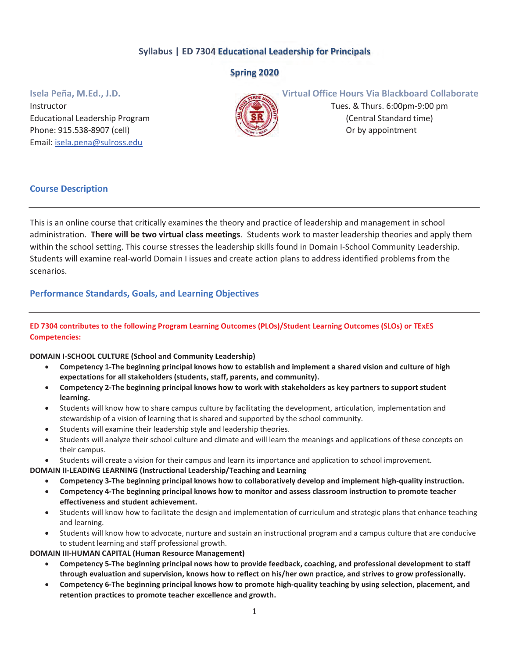# Syllabus | ED 7304 Educational Leadership for Principals

# Spring 2020

Instructor **Tues. & Thurs. 6:00pm-9:00 pm** Educational Leadership Program  $\mathbb{R} \setminus \mathbb{R}$   $\mathbb{R}$   $\mathbb{R}$   $\mathbb{R}$   $\mathbb{R}$   $\mathbb{R}$  (Central Standard time) Phone: 915.538-8907 (cell) **Or by appointment** Email: isela.pena@sulross.edu



## Isela Peña, M.Ed., J.D. Virtual Office Hours Via Blackboard Collaborate

## Course Description

This is an online course that critically examines the theory and practice of leadership and management in school administration. There will be two virtual class meetings. Students work to master leadership theories and apply them within the school setting. This course stresses the leadership skills found in Domain I-School Community Leadership. Students will examine real-world Domain I issues and create action plans to address identified problems from the scenarios.

## Performance Standards, Goals, and Learning Objectives

## ED 7304 contributes to the following Program Learning Outcomes (PLOs)/Student Learning Outcomes (SLOs) or TExES Competencies:

#### DOMAIN I-SCHOOL CULTURE (School and Community Leadership)

- Competency 1-The beginning principal knows how to establish and implement a shared vision and culture of high expectations for all stakeholders (students, staff, parents, and community).
- Competency 2-The beginning principal knows how to work with stakeholders as key partners to support student learning.
- Students will know how to share campus culture by facilitating the development, articulation, implementation and stewardship of a vision of learning that is shared and supported by the school community.
- Students will examine their leadership style and leadership theories.
- Students will analyze their school culture and climate and will learn the meanings and applications of these concepts on their campus.
- Students will create a vision for their campus and learn its importance and application to school improvement.

DOMAIN II-LEADING LEARNING (Instructional Leadership/Teaching and Learning

- x Competency 3-The beginning principal knows how to collaboratively develop and implement high-quality instruction.
- x Competency 4-The beginning principal knows how to monitor and assess classroom instruction to promote teacher effectiveness and student achievement.
- Students will know how to facilitate the design and implementation of curriculum and strategic plans that enhance teaching and learning.
- x Students will know how to advocate, nurture and sustain an instructional program and a campus culture that are conducive to student learning and staff professional growth.

DOMAIN III-HUMAN CAPITAL (Human Resource Management)

- x Competency 5-The beginning principal nows how to provide feedback, coaching, and professional development to staff through evaluation and supervision, knows how to reflect on his/her own practice, and strives to grow professionally.
- Competency 6-The beginning principal knows how to promote high-quality teaching by using selection, placement, and retention practices to promote teacher excellence and growth.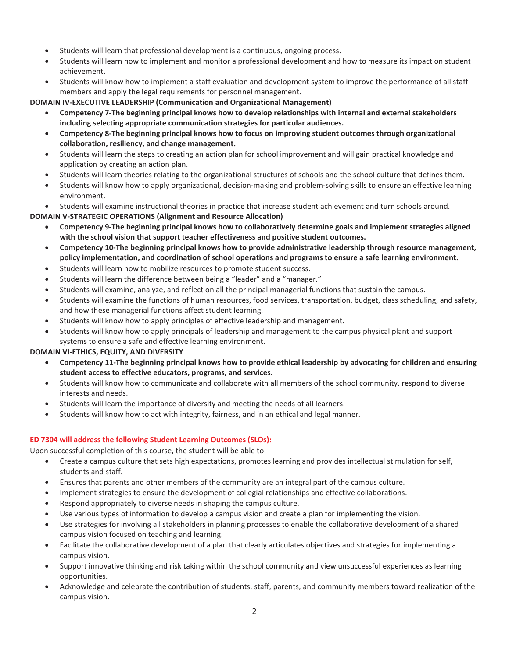- Students will learn that professional development is a continuous, ongoing process.
- Students will learn how to implement and monitor a professional development and how to measure its impact on student achievement.
- Students will know how to implement a staff evaluation and development system to improve the performance of all staff members and apply the legal requirements for personnel management.

DOMAIN IV-EXECUTIVE LEADERSHIP (Communication and Organizational Management)

- Competency 7-The beginning principal knows how to develop relationships with internal and external stakeholders including selecting appropriate communication strategies for particular audiences.
- x Competency 8-The beginning principal knows how to focus on improving student outcomes through organizational collaboration, resiliency, and change management.
- x Students will learn the steps to creating an action plan for school improvement and will gain practical knowledge and application by creating an action plan.
- Students will learn theories relating to the organizational structures of schools and the school culture that defines them.
- Students will know how to apply organizational, decision-making and problem-solving skills to ensure an effective learning environment.

Students will examine instructional theories in practice that increase student achievement and turn schools around.

### DOMAIN V-STRATEGIC OPERATIONS (Alignment and Resource Allocation)

- Competency 9-The beginning principal knows how to collaboratively determine goals and implement strategies aligned with the school vision that support teacher effectiveness and positive student outcomes.
- Competency 10-The beginning principal knows how to provide administrative leadership through resource management, policy implementation, and coordination of school operations and programs to ensure a safe learning environment.
- Students will learn how to mobilize resources to promote student success.
- Students will learn the difference between being a "leader" and a "manager."
- Students will examine, analyze, and reflect on all the principal managerial functions that sustain the campus.
- Students will examine the functions of human resources, food services, transportation, budget, class scheduling, and safety, and how these managerial functions affect student learning.
- Students will know how to apply principles of effective leadership and management.
- Students will know how to apply principals of leadership and management to the campus physical plant and support systems to ensure a safe and effective learning environment.

#### DOMAIN VI-ETHICS, EQUITY, AND DIVERSITY

- Competency 11-The beginning principal knows how to provide ethical leadership by advocating for children and ensuring student access to effective educators, programs, and services.
- Students will know how to communicate and collaborate with all members of the school community, respond to diverse interests and needs.
- Students will learn the importance of diversity and meeting the needs of all learners.
- Students will know how to act with integrity, fairness, and in an ethical and legal manner.

#### ED 7304 will address the following Student Learning Outcomes (SLOs):

Upon successful completion of this course, the student will be able to:

- Create a campus culture that sets high expectations, promotes learning and provides intellectual stimulation for self, students and staff.
- Ensures that parents and other members of the community are an integral part of the campus culture.
- Implement strategies to ensure the development of collegial relationships and effective collaborations.
- Respond appropriately to diverse needs in shaping the campus culture.
- Use various types of information to develop a campus vision and create a plan for implementing the vision.
- Use strategies for involving all stakeholders in planning processes to enable the collaborative development of a shared campus vision focused on teaching and learning.
- Facilitate the collaborative development of a plan that clearly articulates objectives and strategies for implementing a campus vision.
- Support innovative thinking and risk taking within the school community and view unsuccessful experiences as learning opportunities.
- Acknowledge and celebrate the contribution of students, staff, parents, and community members toward realization of the campus vision.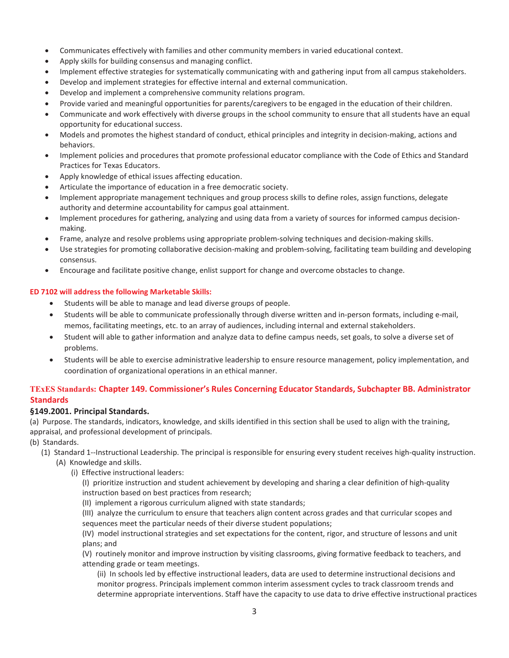- Communicates effectively with families and other community members in varied educational context.
- Apply skills for building consensus and managing conflict.
- Implement effective strategies for systematically communicating with and gathering input from all campus stakeholders.
- Develop and implement strategies for effective internal and external communication.
- Develop and implement a comprehensive community relations program.
- Provide varied and meaningful opportunities for parents/caregivers to be engaged in the education of their children.
- Communicate and work effectively with diverse groups in the school community to ensure that all students have an equal opportunity for educational success.
- x Models and promotes the highest standard of conduct, ethical principles and integrity in decision-making, actions and behaviors.
- Implement policies and procedures that promote professional educator compliance with the Code of Ethics and Standard Practices for Texas Educators.
- Apply knowledge of ethical issues affecting education.
- Articulate the importance of education in a free democratic society.
- Implement appropriate management techniques and group process skills to define roles, assign functions, delegate authority and determine accountability for campus goal attainment.
- Implement procedures for gathering, analyzing and using data from a variety of sources for informed campus decisionmaking.
- Frame, analyze and resolve problems using appropriate problem-solving techniques and decision-making skills.
- Use strategies for promoting collaborative decision-making and problem-solving, facilitating team building and developing consensus.
- Encourage and facilitate positive change, enlist support for change and overcome obstacles to change.

#### ED 7102 will address the following Marketable Skills:

- Students will be able to manage and lead diverse groups of people.
- Students will be able to communicate professionally through diverse written and in-person formats, including e-mail, memos, facilitating meetings, etc. to an array of audiences, including internal and external stakeholders.
- Student will able to gather information and analyze data to define campus needs, set goals, to solve a diverse set of problems.
- Students will be able to exercise administrative leadership to ensure resource management, policy implementation, and coordination of organizational operations in an ethical manner.

## TExES Standards: Chapter 149. Commissioner's Rules Concerning Educator Standards, Subchapter BB. Administrator **Standards**

#### §149.2001. Principal Standards.

(a) Purpose. The standards, indicators, knowledge, and skills identified in this section shall be used to align with the training, appraisal, and professional development of principals.

(b) Standards.

- (1) Standard 1--Instructional Leadership. The principal is responsible for ensuring every student receives high-quality instruction.
	- (A) Knowledge and skills.
		- (i) Effective instructional leaders:

(I) prioritize instruction and student achievement by developing and sharing a clear definition of high-quality instruction based on best practices from research;

(II) implement a rigorous curriculum aligned with state standards;

(III) analyze the curriculum to ensure that teachers align content across grades and that curricular scopes and sequences meet the particular needs of their diverse student populations;

(IV) model instructional strategies and set expectations for the content, rigor, and structure of lessons and unit plans; and

(V) routinely monitor and improve instruction by visiting classrooms, giving formative feedback to teachers, and attending grade or team meetings.

(ii) In schools led by effective instructional leaders, data are used to determine instructional decisions and monitor progress. Principals implement common interim assessment cycles to track classroom trends and determine appropriate interventions. Staff have the capacity to use data to drive effective instructional practices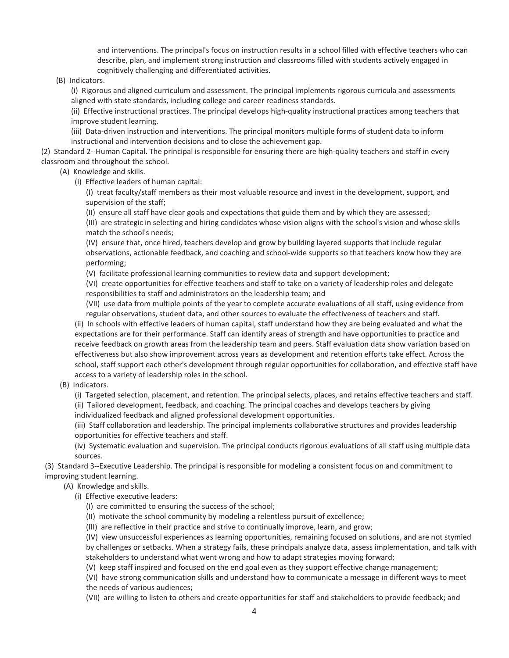and interventions. The principal's focus on instruction results in a school filled with effective teachers who can describe, plan, and implement strong instruction and classrooms filled with students actively engaged in cognitively challenging and differentiated activities.

(B) Indicators.

(i) Rigorous and aligned curriculum and assessment. The principal implements rigorous curricula and assessments aligned with state standards, including college and career readiness standards.

(ii) Effective instructional practices. The principal develops high-quality instructional practices among teachers that improve student learning.

(iii) Data-driven instruction and interventions. The principal monitors multiple forms of student data to inform instructional and intervention decisions and to close the achievement gap.

(2) Standard 2--Human Capital. The principal is responsible for ensuring there are high-quality teachers and staff in every classroom and throughout the school.

(A) Knowledge and skills.

(i) Effective leaders of human capital:

(I) treat faculty/staff members as their most valuable resource and invest in the development, support, and supervision of the staff;

(II) ensure all staff have clear goals and expectations that guide them and by which they are assessed;

(III) are strategic in selecting and hiring candidates whose vision aligns with the school's vision and whose skills match the school's needs;

(IV) ensure that, once hired, teachers develop and grow by building layered supports that include regular observations, actionable feedback, and coaching and school-wide supports so that teachers know how they are performing;

(V) facilitate professional learning communities to review data and support development;

(VI) create opportunities for effective teachers and staff to take on a variety of leadership roles and delegate responsibilities to staff and administrators on the leadership team; and

(VII) use data from multiple points of the year to complete accurate evaluations of all staff, using evidence from regular observations, student data, and other sources to evaluate the effectiveness of teachers and staff.

(ii) In schools with effective leaders of human capital, staff understand how they are being evaluated and what the expectations are for their performance. Staff can identify areas of strength and have opportunities to practice and receive feedback on growth areas from the leadership team and peers. Staff evaluation data show variation based on effectiveness but also show improvement across years as development and retention efforts take effect. Across the school, staff support each other's development through regular opportunities for collaboration, and effective staff have access to a variety of leadership roles in the school.

(B) Indicators.

(i) Targeted selection, placement, and retention. The principal selects, places, and retains effective teachers and staff.

(ii) Tailored development, feedback, and coaching. The principal coaches and develops teachers by giving individualized feedback and aligned professional development opportunities.

(iii) Staff collaboration and leadership. The principal implements collaborative structures and provides leadership opportunities for effective teachers and staff.

(iv) Systematic evaluation and supervision. The principal conducts rigorous evaluations of all staff using multiple data sources.

(3) Standard 3--Executive Leadership. The principal is responsible for modeling a consistent focus on and commitment to improving student learning.

- (A) Knowledge and skills.
	- (i) Effective executive leaders:
		- (I) are committed to ensuring the success of the school;
		- (II) motivate the school community by modeling a relentless pursuit of excellence;
		- (III) are reflective in their practice and strive to continually improve, learn, and grow;

(IV) view unsuccessful experiences as learning opportunities, remaining focused on solutions, and are not stymied by challenges or setbacks. When a strategy fails, these principals analyze data, assess implementation, and talk with stakeholders to understand what went wrong and how to adapt strategies moving forward;

(V) keep staff inspired and focused on the end goal even as they support effective change management;

(VI) have strong communication skills and understand how to communicate a message in different ways to meet the needs of various audiences;

(VII) are willing to listen to others and create opportunities for staff and stakeholders to provide feedback; and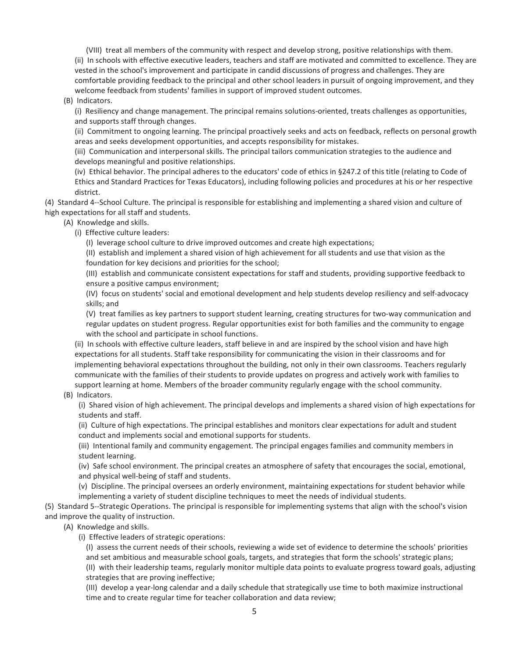(VIII) treat all members of the community with respect and develop strong, positive relationships with them. (ii) In schools with effective executive leaders, teachers and staff are motivated and committed to excellence. They are vested in the school's improvement and participate in candid discussions of progress and challenges. They are comfortable providing feedback to the principal and other school leaders in pursuit of ongoing improvement, and they welcome feedback from students' families in support of improved student outcomes.

#### (B) Indicators.

(i) Resiliency and change management. The principal remains solutions-oriented, treats challenges as opportunities, and supports staff through changes.

(ii) Commitment to ongoing learning. The principal proactively seeks and acts on feedback, reflects on personal growth areas and seeks development opportunities, and accepts responsibility for mistakes.

(iii) Communication and interpersonal skills. The principal tailors communication strategies to the audience and develops meaningful and positive relationships.

(iv) Ethical behavior. The principal adheres to the educators' code of ethics in §247.2 of this title (relating to Code of Ethics and Standard Practices for Texas Educators), including following policies and procedures at his or her respective district.

(4) Standard 4--School Culture. The principal is responsible for establishing and implementing a shared vision and culture of high expectations for all staff and students.

- (A) Knowledge and skills.
	- (i) Effective culture leaders:

(I) leverage school culture to drive improved outcomes and create high expectations;

(II) establish and implement a shared vision of high achievement for all students and use that vision as the foundation for key decisions and priorities for the school;

(III) establish and communicate consistent expectations for staff and students, providing supportive feedback to ensure a positive campus environment;

(IV) focus on students' social and emotional development and help students develop resiliency and self-advocacy skills; and

(V) treat families as key partners to support student learning, creating structures for two-way communication and regular updates on student progress. Regular opportunities exist for both families and the community to engage with the school and participate in school functions.

(ii) In schools with effective culture leaders, staff believe in and are inspired by the school vision and have high expectations for all students. Staff take responsibility for communicating the vision in their classrooms and for implementing behavioral expectations throughout the building, not only in their own classrooms. Teachers regularly communicate with the families of their students to provide updates on progress and actively work with families to support learning at home. Members of the broader community regularly engage with the school community.

(B) Indicators.

(i) Shared vision of high achievement. The principal develops and implements a shared vision of high expectations for students and staff.

(ii) Culture of high expectations. The principal establishes and monitors clear expectations for adult and student conduct and implements social and emotional supports for students.

(iii) Intentional family and community engagement. The principal engages families and community members in student learning.

(iv) Safe school environment. The principal creates an atmosphere of safety that encourages the social, emotional, and physical well-being of staff and students.

(v) Discipline. The principal oversees an orderly environment, maintaining expectations for student behavior while implementing a variety of student discipline techniques to meet the needs of individual students.

(5) Standard 5--Strategic Operations. The principal is responsible for implementing systems that align with the school's vision and improve the quality of instruction.

(A) Knowledge and skills.

(i) Effective leaders of strategic operations:

(I) assess the current needs of their schools, reviewing a wide set of evidence to determine the schools' priorities and set ambitious and measurable school goals, targets, and strategies that form the schools' strategic plans;

(II) with their leadership teams, regularly monitor multiple data points to evaluate progress toward goals, adjusting strategies that are proving ineffective;

(III) develop a year-long calendar and a daily schedule that strategically use time to both maximize instructional time and to create regular time for teacher collaboration and data review;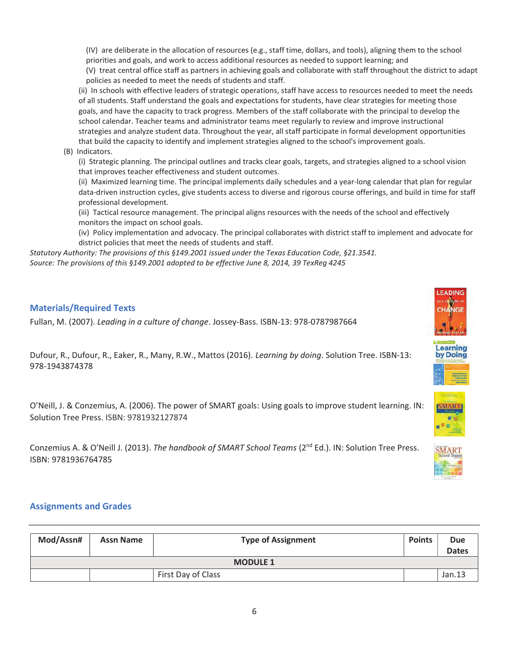(IV) are deliberate in the allocation of resources (e.g., staff time, dollars, and tools), aligning them to the school priorities and goals, and work to access additional resources as needed to support learning; and

(V) treat central office staff as partners in achieving goals and collaborate with staff throughout the district to adapt policies as needed to meet the needs of students and staff.

(ii) In schools with effective leaders of strategic operations, staff have access to resources needed to meet the needs of all students. Staff understand the goals and expectations for students, have clear strategies for meeting those goals, and have the capacity to track progress. Members of the staff collaborate with the principal to develop the school calendar. Teacher teams and administrator teams meet regularly to review and improve instructional strategies and analyze student data. Throughout the year, all staff participate in formal development opportunities that build the capacity to identify and implement strategies aligned to the school's improvement goals.

(B) Indicators.

(i) Strategic planning. The principal outlines and tracks clear goals, targets, and strategies aligned to a school vision that improves teacher effectiveness and student outcomes.

(ii) Maximized learning time. The principal implements daily schedules and a year-long calendar that plan for regular data-driven instruction cycles, give students access to diverse and rigorous course offerings, and build in time for staff professional development.

(iii) Tactical resource management. The principal aligns resources with the needs of the school and effectively monitors the impact on school goals.

(iv) Policy implementation and advocacy. The principal collaborates with district staff to implement and advocate for district policies that meet the needs of students and staff.

*Statutory Authority: The provisions of this §149.2001 issued under the Texas Education Code, §21.3541. Source: The provisions of this §149.2001 adopted to be effective June 8, 2014, 39 TexReg 4245* 

## Materials/Required Texts

Fullan, M. (2007). *Leading in a culture of change*. Jossey-Bass. ISBN-13: 978-0787987664

Dufour, R., Dufour, R., Eaker, R., Many, R.W., Mattos (2016). *Learning by doing*. Solution Tree. ISBN-13: 978-1943874378

O'Neill, J. & Conzemius, A. (2006). The power of SMART goals: Using goals to improve student learning. IN: Solution Tree Press. ISBN: 9781932127874

Conzemius A. & O'Neill J. (2013). *The handbook of SMART School Teams* (2nd Ed.). IN: Solution Tree Press. ISBN: 9781936764785



.earning by Doing

## Assignments and Grades

| Mod/Assn#       | <b>Assn Name</b> | <b>Type of Assignment</b> | <b>Points</b> | <b>Due</b><br><b>Dates</b> |  |  |  |  |
|-----------------|------------------|---------------------------|---------------|----------------------------|--|--|--|--|
| <b>MODULE 1</b> |                  |                           |               |                            |  |  |  |  |
|                 |                  | First Day of Class        |               | Jan.13                     |  |  |  |  |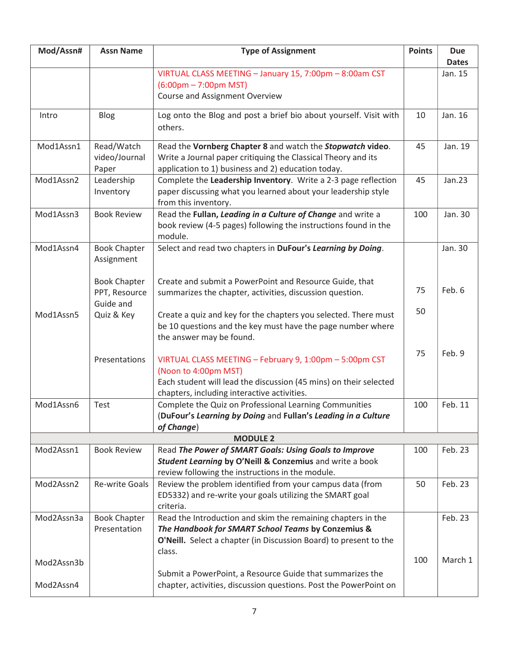| Mod/Assn#  | <b>Assn Name</b>      | <b>Type of Assignment</b>                                                                                  | <b>Points</b> | <b>Due</b>    |
|------------|-----------------------|------------------------------------------------------------------------------------------------------------|---------------|---------------|
|            |                       |                                                                                                            |               | <b>Dates</b>  |
|            |                       | VIRTUAL CLASS MEETING - January 15, 7:00pm - 8:00am CST<br>$(6:00 \text{pm} - 7:00 \text{pm} \text{ MST})$ |               | Jan. 15       |
|            |                       | Course and Assignment Overview                                                                             |               |               |
|            |                       |                                                                                                            |               |               |
| Intro      | <b>Blog</b>           | Log onto the Blog and post a brief bio about yourself. Visit with                                          | 10            | Jan. 16       |
|            |                       | others.                                                                                                    |               |               |
| Mod1Assn1  | Read/Watch            | Read the Vornberg Chapter 8 and watch the Stopwatch video.                                                 | 45            | Jan. 19       |
|            | video/Journal         | Write a Journal paper critiquing the Classical Theory and its                                              |               |               |
|            | Paper                 | application to 1) business and 2) education today.                                                         |               |               |
| Mod1Assn2  | Leadership            | Complete the Leadership Inventory. Write a 2-3 page reflection                                             | 45            | <b>Jan.23</b> |
|            | Inventory             | paper discussing what you learned about your leadership style                                              |               |               |
|            |                       | from this inventory.                                                                                       |               |               |
| Mod1Assn3  | <b>Book Review</b>    | Read the Fullan, Leading in a Culture of Change and write a                                                | 100           | Jan. 30       |
|            |                       | book review (4-5 pages) following the instructions found in the<br>module.                                 |               |               |
| Mod1Assn4  | <b>Book Chapter</b>   | Select and read two chapters in DuFour's Learning by Doing.                                                |               | Jan. 30       |
|            | Assignment            |                                                                                                            |               |               |
|            |                       |                                                                                                            |               |               |
|            | <b>Book Chapter</b>   | Create and submit a PowerPoint and Resource Guide, that                                                    |               |               |
|            | PPT, Resource         | summarizes the chapter, activities, discussion question.                                                   | 75            | Feb. 6        |
|            | Guide and             |                                                                                                            | 50            |               |
| Mod1Assn5  | Quiz & Key            | Create a quiz and key for the chapters you selected. There must                                            |               |               |
|            |                       | be 10 questions and the key must have the page number where                                                |               |               |
|            |                       | the answer may be found.                                                                                   |               |               |
|            | Presentations         | VIRTUAL CLASS MEETING - February 9, 1:00pm - 5:00pm CST                                                    | 75            | Feb. 9        |
|            |                       | (Noon to 4:00pm MST)                                                                                       |               |               |
|            |                       | Each student will lead the discussion (45 mins) on their selected                                          |               |               |
|            |                       | chapters, including interactive activities.                                                                |               |               |
| Mod1Assn6  | Test                  | Complete the Quiz on Professional Learning Communities                                                     | 100           | Feb. 11       |
|            |                       | (DuFour's Learning by Doing and Fullan's Leading in a Culture                                              |               |               |
|            |                       | of Change)                                                                                                 |               |               |
| Mod2Assn1  | <b>Book Review</b>    | <b>MODULE 2</b><br>Read The Power of SMART Goals: Using Goals to Improve                                   | 100           | Feb. 23       |
|            |                       | Student Learning by O'Neill & Conzemius and write a book                                                   |               |               |
|            |                       | review following the instructions in the module.                                                           |               |               |
| Mod2Assn2  | <b>Re-write Goals</b> | Review the problem identified from your campus data (from                                                  | 50            | Feb. 23       |
|            |                       | ED5332) and re-write your goals utilizing the SMART goal                                                   |               |               |
|            |                       | criteria.                                                                                                  |               |               |
| Mod2Assn3a | <b>Book Chapter</b>   | Read the Introduction and skim the remaining chapters in the                                               |               | Feb. 23       |
|            | Presentation          | The Handbook for SMART School Teams by Conzemius &                                                         |               |               |
|            |                       | O'Neill. Select a chapter (in Discussion Board) to present to the                                          |               |               |
| Mod2Assn3b |                       | class.                                                                                                     | 100           | March 1       |
|            |                       | Submit a PowerPoint, a Resource Guide that summarizes the                                                  |               |               |
| Mod2Assn4  |                       | chapter, activities, discussion questions. Post the PowerPoint on                                          |               |               |
|            |                       |                                                                                                            |               |               |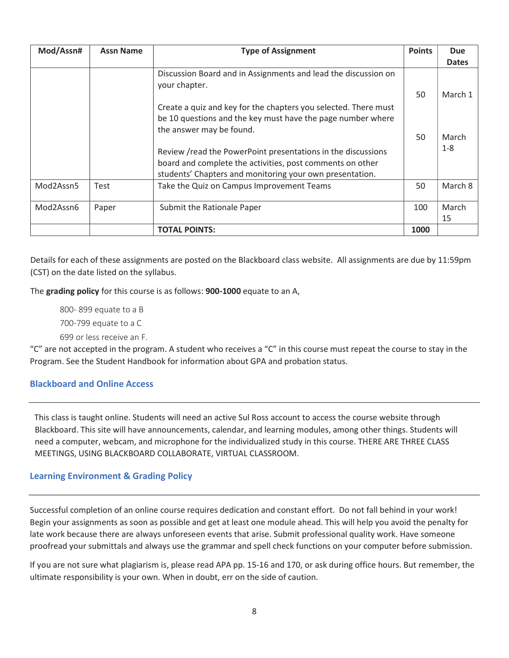| Mod/Assn# | <b>Assn Name</b> | <b>Type of Assignment</b>                                                                                             | <b>Points</b> | <b>Due</b>   |
|-----------|------------------|-----------------------------------------------------------------------------------------------------------------------|---------------|--------------|
|           |                  |                                                                                                                       |               | <b>Dates</b> |
|           |                  | Discussion Board and in Assignments and lead the discussion on<br>your chapter.                                       | 50            | March 1      |
|           |                  | Create a quiz and key for the chapters you selected. There must                                                       |               |              |
|           |                  | be 10 questions and the key must have the page number where<br>the answer may be found.                               |               |              |
|           |                  |                                                                                                                       | 50            | March        |
|           |                  | Review /read the PowerPoint presentations in the discussions                                                          |               | $1 - 8$      |
|           |                  | board and complete the activities, post comments on other<br>students' Chapters and monitoring your own presentation. |               |              |
| Mod2Assn5 | Test             | Take the Quiz on Campus Improvement Teams                                                                             | 50            | March 8      |
| Mod2Assn6 | Paper            | Submit the Rationale Paper                                                                                            | 100           | March        |
|           |                  |                                                                                                                       |               | 15           |
|           |                  | <b>TOTAL POINTS:</b>                                                                                                  | 1000          |              |

Details for each of these assignments are posted on the Blackboard class website. All assignments are due by 11:59pm (CST) on the date listed on the syllabus.

The grading policy for this course is as follows: 900-1000 equate to an A,

800- 899 equate to a B 700-799 equate to a C 699 or less receive an F.

"C" are not accepted in the program. A student who receives a "C" in this course must repeat the course to stay in the Program. See the Student Handbook for information about GPA and probation status.

## Blackboard and Online Access

This class is taught online. Students will need an active Sul Ross account to access the course website through Blackboard. This site will have announcements, calendar, and learning modules, among other things. Students will need a computer, webcam, and microphone for the individualized study in this course. THERE ARE THREE CLASS MEETINGS, USING BLACKBOARD COLLABORATE, VIRTUAL CLASSROOM.

## Learning Environment & Grading Policy

Successful completion of an online course requires dedication and constant effort. Do not fall behind in your work! Begin your assignments as soon as possible and get at least one module ahead. This will help you avoid the penalty for late work because there are always unforeseen events that arise. Submit professional quality work. Have someone proofread your submittals and always use the grammar and spell check functions on your computer before submission.

If you are not sure what plagiarism is, please read APA pp. 15-16 and 170, or ask during office hours. But remember, the ultimate responsibility is your own. When in doubt, err on the side of caution.